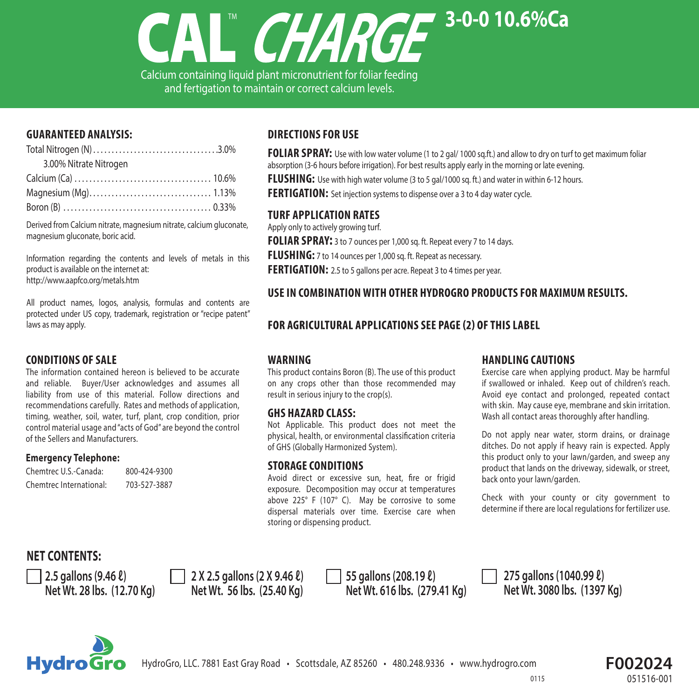

Calcium containing liquid plant micronutrient for foliar feeding and fertigation to maintain or correct calcium levels.

## **GUARANTEED ANALYSIS:**

| 3.00% Nitrate Nitrogen |  |
|------------------------|--|
|                        |  |
|                        |  |
|                        |  |

Derived from Calcium nitrate, magnesium nitrate, calcium gluconate, magnesium gluconate, boric acid.

Information regarding the contents and levels of metals in this product is available on the internet at: http://www.aapfco.org/metals.htm

All product names, logos, analysis, formulas and contents are protected under US copy, trademark, registration or "recipe patent" laws as may apply.

## **CONDITIONS OF SALE**

The information contained hereon is believed to be accurate and reliable. Buyer/User acknowledges and assumes all liability from use of this material. Follow directions and recommendations carefully. Rates and methods of application, timing, weather, soil, water, turf, plant, crop condition, prior control material usage and "acts of God" are beyond the control of the Sellers and Manufacturers.

## **Emergency Telephone:**

| Chemtrec U.S.-Canada:   | 800-424-9300 |
|-------------------------|--------------|
| Chemtrec International: | 703-527-3887 |

# **DIRECTIONSFOR USE**

**FOLIAR SPRAY:** Use with low water volume (1 to 2 gal/ 1000 sq.ft.) and allow to dry on turf to get maximum foliar absorption (3-6 hours before irrigation). For best results apply early in the morning or late evening.

**FLUSHING:** Use with high water volume (3 to 5 gal/1000 sq. ft.) and water in within 6-12 hours.

**FERTIGATION:** Set injection systems to dispense over a 3 to 4 day water cycle.

## **TURF APPLICATION RATES**

Apply only to actively growing turf. **FOLIAR SPRAY:** 3 to 7 ounces per 1,000 sq. ft. Repeat every 7 to 14 days. **FLUSHING:** 7 to 14 ounces per 1,000 sq. ft. Repeat as necessary. FERTIGATION: 2.5 to 5 gallons per acre. Repeat 3 to 4 times per year.

## **USE IN COMBINATIONWITH OTHER HYDROGRO PRODUCTSFOR MAXIMUM RESULTS.**

# FOR AGRICULTURAL APPLICATIONS SEE PAGE (2) OF THIS LABEL

#### **WARNING**

This product contains Boron (B). The use of this product on any crops other than those recommended may result in serious injury to the crop(s).

#### **GHS HAZARD CLASS:**

Not Applicable. This product does not meet the physical, health, or environmental classification criteria of GHS (Globally Harmonized System).

#### **STORAGE CONDITIONS**

Avoid direct or excessive sun, heat, fire or frigid exposure. Decomposition may occur at temperatures above 225° F (107° C). May be corrosive to some dispersal materials over time. Exercise care when storing or dispensing product.

## **HANDLING CAUTIONS**

Exercise care when applying product. May be harmful if swallowed or inhaled. Keep out of children's reach. Avoid eye contact and prolonged, repeated contact with skin. May cause eye, membrane and skin irritation. Wash all contact areas thoroughly after handling.

Do not apply near water, storm drains, or drainage ditches. Do not apply if heavy rain is expected. Apply this product only to your lawn/garden, and sweep any product that lands on the driveway, sidewalk, or street, back onto your lawn/garden.

Check with your county or city government to determine if there are local regulations for fertilizer use.

# **NET CONTENTS:**

**2.5 gallons (9.46 ℓ) 2.7 Ω 2.5 gallons (2 X 9.46 ℓ)** 55 gallons (208.19 ℓ)<br>Net Wt. 28 lbs. (12.70 Kg) **1.8 a.40 Net Wt. 56 lbs. (25.40 Kg)** Net Wt. 616 lbs. (279

 $Net Wt. 616$  **lbs.** (279.41 Kg)

**275 gallons (1040.99 ℓ) Net Wt. 3080 lbs. (1397 Kg)**